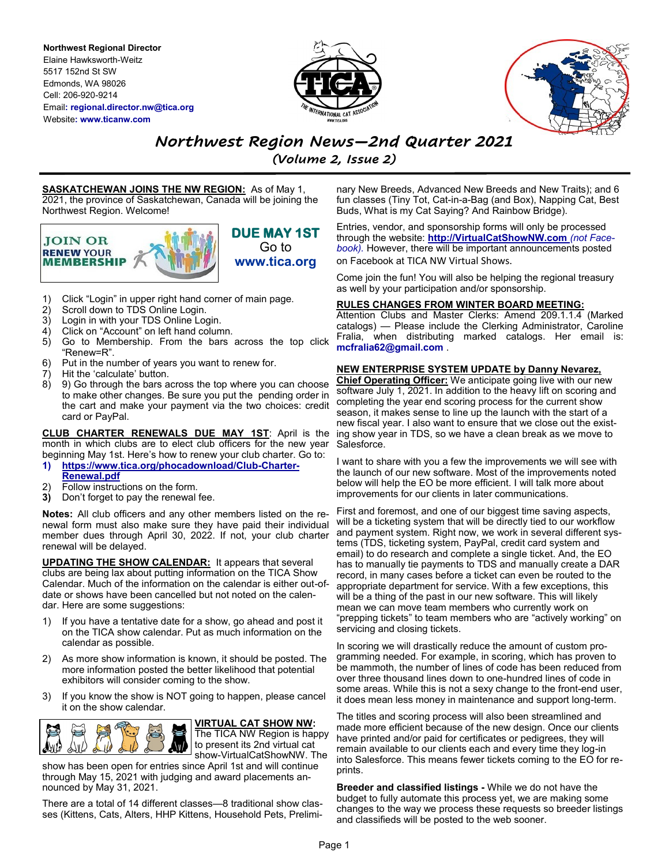**Northwest Regional Director** Elaine Hawksworth-Weitz 5517 152nd St SW Edmonds, WA 98026 Cell: 206-920-9214 Email**: regional.director.nw@tica.org** Website**: www.ticanw.com**





# *Northwest Region News—2nd Quarter 2021*

*(Volume 2, Issue 2)*

**SASKATCHEWAN JOINS THE NW REGION:** As of May 1, 2021, the province of Saskatchewan, Canada will be joining the Northwest Region. Welcome!



**DUE MAY 1ST**  Go to **www.tica.org**

- 1) Click "Login" in upper right hand corner of main page.
- 2) Scroll down to TDS Online Login.
- 3) Login in with your TDS Online Login.
- 4) Click on "Account" on left hand column.<br>5) Go to Membership. From the bars
- 5) Go to Membership. From the bars across the top click "Renew=R".
- 6) Put in the number of years you want to renew for.
- 7) Hit the 'calculate' button.
- 8) 9) Go through the bars across the top where you can choose to make other changes. Be sure you put the pending order in the cart and make your payment via the two choices: credit card or PayPal.

**CLUB CHARTER RENEWALS DUE MAY 1ST**: April is the month in which clubs are to elect club officers for the new year beginning May 1st. Here's how to renew your club charter. Go to: **1) [https://www.tica.org/phocadownload/Club](https://www.tica.org/phocadownload/Club-Charter-Renewal.pdf)-Charter-**

- **[Renewal.pdf](https://www.tica.org/phocadownload/Club-Charter-Renewal.pdf)**
- Follow instructions on the form.
- **3)** Don't forget to pay the renewal fee.

**Notes:** All club officers and any other members listed on the renewal form must also make sure they have paid their individual member dues through April 30, 2022. If not, your club charter renewal will be delayed.

**UPDATING THE SHOW CALENDAR:** It appears that several clubs are being lax about putting information on the TICA Show Calendar. Much of the information on the calendar is either out-ofdate or shows have been cancelled but not noted on the calendar. Here are some suggestions:

- 1) If you have a tentative date for a show, go ahead and post it on the TICA show calendar. Put as much information on the calendar as possible.
- 2) As more show information is known, it should be posted. The more information posted the better likelihood that potential exhibitors will consider coming to the show.
- 3) If you know the show is NOT going to happen, please cancel it on the show calendar.



**VIRTUAL CAT SHOW NW:**  The TICA NW Region is happy to present its 2nd virtual cat show-VirtualCatShowNW. The

show has been open for entries since April 1st and will continue through May 15, 2021 with judging and award placements announced by May 31, 2021.

There are a total of 14 different classes—8 traditional show classes (Kittens, Cats, Alters, HHP Kittens, Household Pets, Preliminary New Breeds, Advanced New Breeds and New Traits); and 6 fun classes (Tiny Tot, Cat-in-a-Bag (and Box), Napping Cat, Best Buds, What is my Cat Saying? And Rainbow Bridge).

Entries, vendor, and sponsorship forms will only be processed through the website: **http://VirtualCatShowNW.com** *(not Facebook).* However, there will be important announcements posted on Facebook at TICA NW Virtual Shows.

Come join the fun! You will also be helping the regional treasury as well by your participation and/or sponsorship.

## **RULES CHANGES FROM WINTER BOARD MEETING:**

Attention Clubs and Master Clerks: Amend 209.1.1.4 (Marked catalogs) — Please include the Clerking Administrator, Caroline Fralia, when distributing marked catalogs. Her email is: **mcfralia62@gmail.com** .

# **NEW ENTERPRISE SYSTEM UPDATE by Danny Nevarez,**

**Chief Operating Officer:** We anticipate going live with our new software July 1, 2021. In addition to the heavy lift on scoring and completing the year end scoring process for the current show season, it makes sense to line up the launch with the start of a new fiscal year. I also want to ensure that we close out the existing show year in TDS, so we have a clean break as we move to Salesforce.

I want to share with you a few the improvements we will see with the launch of our new software. Most of the improvements noted below will help the EO be more efficient. I will talk more about improvements for our clients in later communications.

First and foremost, and one of our biggest time saving aspects, will be a ticketing system that will be directly tied to our workflow and payment system. Right now, we work in several different systems (TDS, ticketing system, PayPal, credit card system and email) to do research and complete a single ticket. And, the EO has to manually tie payments to TDS and manually create a DAR record, in many cases before a ticket can even be routed to the appropriate department for service. With a few exceptions, this will be a thing of the past in our new software. This will likely mean we can move team members who currently work on "prepping tickets" to team members who are "actively working" on servicing and closing tickets.

In scoring we will drastically reduce the amount of custom programming needed. For example, in scoring, which has proven to be mammoth, the number of lines of code has been reduced from over three thousand lines down to one-hundred lines of code in some areas. While this is not a sexy change to the front-end user, it does mean less money in maintenance and support long-term.

The titles and scoring process will also been streamlined and made more efficient because of the new design. Once our clients have printed and/or paid for certificates or pedigrees, they will remain available to our clients each and every time they log-in into Salesforce. This means fewer tickets coming to the EO for reprints.

**Breeder and classified listings -** While we do not have the budget to fully automate this process yet, we are making some changes to the way we process these requests so breeder listings and classifieds will be posted to the web sooner.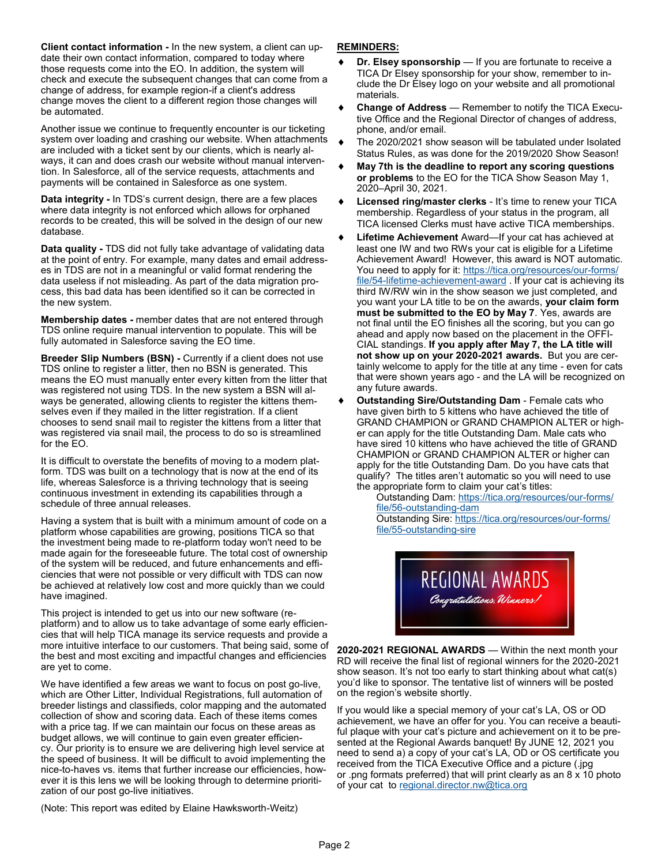**Client contact information -** In the new system, a client can update their own contact information, compared to today where those requests come into the EO. In addition, the system will check and execute the subsequent changes that can come from a change of address, for example region-if a client's address change moves the client to a different region those changes will be automated.

Another issue we continue to frequently encounter is our ticketing system over loading and crashing our website. When attachments are included with a ticket sent by our clients, which is nearly always, it can and does crash our website without manual intervention. In Salesforce, all of the service requests, attachments and payments will be contained in Salesforce as one system.

**Data integrity -** In TDS's current design, there are a few places where data integrity is not enforced which allows for orphaned records to be created, this will be solved in the design of our new database.

**Data quality -** TDS did not fully take advantage of validating data at the point of entry. For example, many dates and email addresses in TDS are not in a meaningful or valid format rendering the data useless if not misleading. As part of the data migration process, this bad data has been identified so it can be corrected in the new system.

**Membership dates -** member dates that are not entered through TDS online require manual intervention to populate. This will be fully automated in Salesforce saving the EO time.

**Breeder Slip Numbers (BSN) -** Currently if a client does not use TDS online to register a litter, then no BSN is generated. This means the EO must manually enter every kitten from the litter that was registered not using TDS. In the new system a BSN will always be generated, allowing clients to register the kittens themselves even if they mailed in the litter registration. If a client chooses to send snail mail to register the kittens from a litter that was registered via snail mail, the process to do so is streamlined for the EO.

It is difficult to overstate the benefits of moving to a modern platform. TDS was built on a technology that is now at the end of its life, whereas Salesforce is a thriving technology that is seeing continuous investment in extending its capabilities through a schedule of three annual releases.

Having a system that is built with a minimum amount of code on a platform whose capabilities are growing, positions TICA so that the investment being made to re-platform today won't need to be made again for the foreseeable future. The total cost of ownership of the system will be reduced, and future enhancements and efficiencies that were not possible or very difficult with TDS can now be achieved at relatively low cost and more quickly than we could have imagined.

This project is intended to get us into our new software (replatform) and to allow us to take advantage of some early efficiencies that will help TICA manage its service requests and provide a more intuitive interface to our customers. That being said, some of the best and most exciting and impactful changes and efficiencies are yet to come.

We have identified a few areas we want to focus on post go-live, which are Other Litter, Individual Registrations, full automation of breeder listings and classifieds, color mapping and the automated collection of show and scoring data. Each of these items comes with a price tag. If we can maintain our focus on these areas as budget allows, we will continue to gain even greater efficiency. Our priority is to ensure we are delivering high level service at the speed of business. It will be difficult to avoid implementing the nice-to-haves vs. items that further increase our efficiencies, however it is this lens we will be looking through to determine prioritization of our post go-live initiatives.

(Note: This report was edited by Elaine Hawksworth-Weitz)

# **REMINDERS:**

- **Dr. Elsey sponsorship** If you are fortunate to receive a TICA Dr Elsey sponsorship for your show, remember to include the Dr Elsey logo on your website and all promotional materials.
- **Change of Address**  Remember to notify the TICA Executive Office and the Regional Director of changes of address, phone, and/or email.
- The 2020/2021 show season will be tabulated under Isolated Status Rules, as was done for the 2019/2020 Show Season!
- **May 7th is the deadline to report any scoring questions or problems** to the EO for the TICA Show Season May 1, 2020–April 30, 2021.
- **Licensed ring/master clerks**  It's time to renew your TICA membership. Regardless of your status in the program, all TICA licensed Clerks must have active TICA memberships.
- **Lifetime Achievement** Award—If your cat has achieved at least one IW and two RWs your cat is eligible for a Lifetime Achievement Award! However, this award is NOT automatic. You need to apply for it: [https://tica.org/resources/our](https://tica.org/resources/our-forms/file/54-lifetime-achievement-award)-forms/ file/54-lifetime-[achievement](https://tica.org/resources/our-forms/file/54-lifetime-achievement-award)-award. If your cat is achieving its third IW/RW win in the show season we just completed, and you want your LA title to be on the awards, **your claim form must be submitted to the EO by May 7**. Yes, awards are not final until the EO finishes all the scoring, but you can go ahead and apply now based on the placement in the OFFI-CIAL standings. **If you apply after May 7, the LA title will not show up on your 2020-2021 awards.** But you are certainly welcome to apply for the title at any time - even for cats that were shown years ago - and the LA will be recognized on any future awards.
- **Outstanding Sire/Outstanding Dam**  Female cats who have given birth to 5 kittens who have achieved the title of GRAND CHAMPION or GRAND CHAMPION ALTER or higher can apply for the title Outstanding Dam. Male cats who have sired 10 kittens who have achieved the title of GRAND CHAMPION or GRAND CHAMPION ALTER or higher can apply for the title Outstanding Dam. Do you have cats that qualify? The titles aren't automatic so you will need to use the appropriate form to claim your cat's titles:

Outstanding Dam: [https://tica.org/resources/our](https://tica.org/resources/our-forms/file/56-outstanding-dam)-forms/ file/56-[outstanding](https://tica.org/resources/our-forms/file/56-outstanding-dam)-dam Outstanding Sire: [https://tica.org/resources/our](https://tica.org/resources/our-forms/file/55-outstanding-sire)-forms/ file/55-[outstanding](https://tica.org/resources/our-forms/file/55-outstanding-sire)-sire



**2020-2021 REGIONAL AWARDS** — Within the next month your RD will receive the final list of regional winners for the 2020-2021 show season. It's not too early to start thinking about what cat(s) you'd like to sponsor. The tentative list of winners will be posted on the region's website shortly.

If you would like a special memory of your cat's LA, OS or OD achievement, we have an offer for you. You can receive a beautiful plaque with your cat's picture and achievement on it to be presented at the Regional Awards banquet! By JUNE 12, 2021 you need to send a) a copy of your cat's LA, OD or OS certificate you received from the TICA Executive Office and a picture (.jpg or .png formats preferred) that will print clearly as an 8 x 10 photo of your cat to [regional.director.nw@tica.org](mailto:regional.director.nw@tica.org)